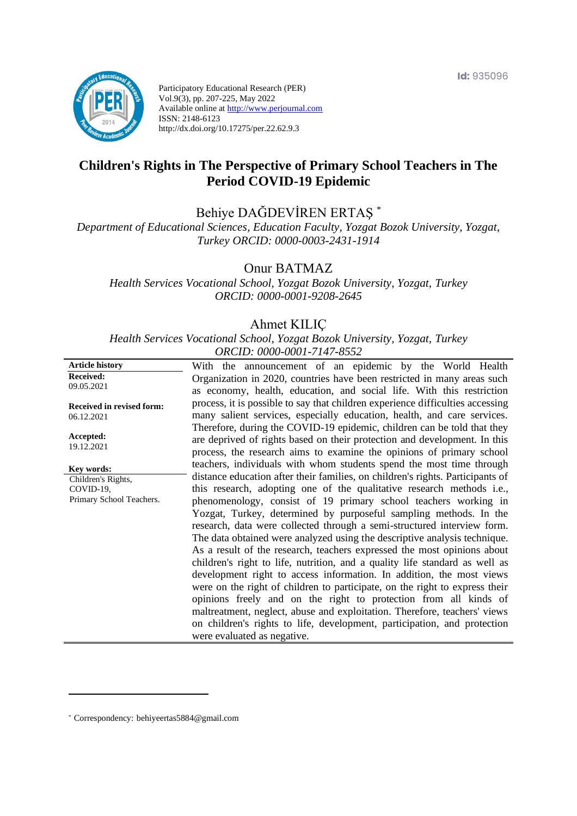

Participatory Educational Research (PER) Vol.9(3), pp. 207-225, May 2022 Available online at http://www.perjournal.com ISSN: 2148-6123 http://dx.doi.org/10.17275/per.22.62.9.3

# **Children's Rights in The Perspective of Primary School Teachers in The Period COVID-19 Epidemic**

Behiye DAĞDEVİREN ERTAŞ \*

*Department of Educational Sciences, Education Faculty, Yozgat Bozok University, Yozgat, Turkey ORCID: 0000-0003-2431-1914*

Onur BATMAZ

*Health Services Vocational School, Yozgat Bozok University, Yozgat, Turkey ORCID: 0000-0001-9208-2645*

#### Ahmet KILIÇ

*Health Services Vocational School, Yozgat Bozok University, Yozgat, Turkey ORCID: 0000-0001-7147-8552*

| <b>Article history</b>           | With the announcement of an epidemic by the World Health                                                                                             |
|----------------------------------|------------------------------------------------------------------------------------------------------------------------------------------------------|
| <b>Received:</b><br>09.05.2021   | Organization in 2020, countries have been restricted in many areas such                                                                              |
|                                  | as economy, health, education, and social life. With this restriction                                                                                |
| <b>Received in revised form:</b> | process, it is possible to say that children experience difficulties accessing                                                                       |
| 06.12.2021                       | many salient services, especially education, health, and care services.                                                                              |
| Accepted:                        | Therefore, during the COVID-19 epidemic, children can be told that they<br>are deprived of rights based on their protection and development. In this |
| 19.12.2021                       | process, the research aims to examine the opinions of primary school                                                                                 |
| Key words:                       | teachers, individuals with whom students spend the most time through                                                                                 |
| Children's Rights,               | distance education after their families, on children's rights. Participants of                                                                       |
| COVID-19,                        | this research, adopting one of the qualitative research methods i.e.,                                                                                |
| Primary School Teachers.         | phenomenology, consist of 19 primary school teachers working in                                                                                      |
|                                  | Yozgat, Turkey, determined by purposeful sampling methods. In the<br>research, data were collected through a semi-structured interview form.         |
|                                  | The data obtained were analyzed using the descriptive analysis technique.                                                                            |
|                                  | As a result of the research, teachers expressed the most opinions about                                                                              |
|                                  | children's right to life, nutrition, and a quality life standard as well as                                                                          |
|                                  | development right to access information. In addition, the most views                                                                                 |
|                                  | were on the right of children to participate, on the right to express their                                                                          |
|                                  | opinions freely and on the right to protection from all kinds of                                                                                     |
|                                  | maltreatment, neglect, abuse and exploitation. Therefore, teachers' views                                                                            |
|                                  | on children's rights to life, development, participation, and protection                                                                             |
|                                  | were evaluated as negative.                                                                                                                          |

\* [Correspondency:](mailto:Correspondency:) behiyeertas5884@gmail.com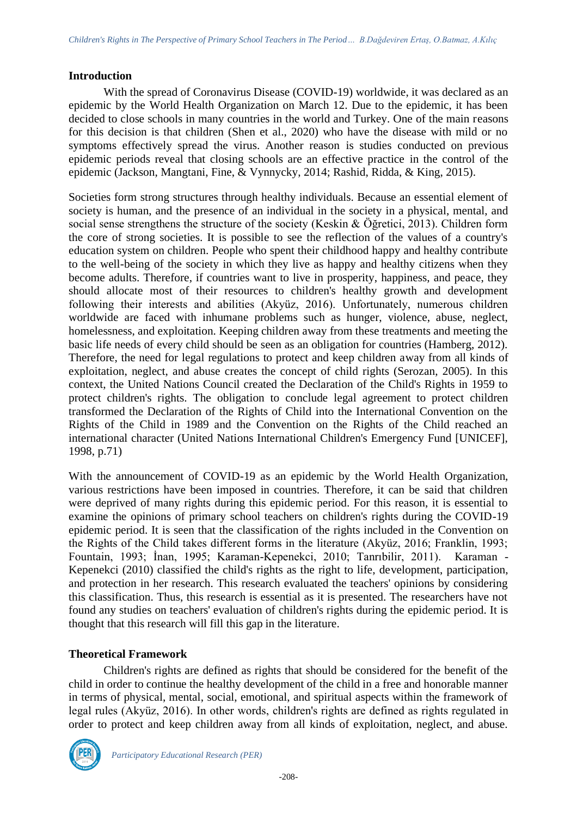#### **Introduction**

With the spread of Coronavirus Disease (COVID-19) worldwide, it was declared as an epidemic by the World Health Organization on March 12. Due to the epidemic, it has been decided to close schools in many countries in the world and Turkey. One of the main reasons for this decision is that children (Shen et al., 2020) who have the disease with mild or no symptoms effectively spread the virus. Another reason is studies conducted on previous epidemic periods reveal that closing schools are an effective practice in the control of the epidemic (Jackson, Mangtani, Fine, & Vynnycky, 2014; Rashid, Ridda, & King, 2015).

Societies form strong structures through healthy individuals. Because an essential element of society is human, and the presence of an individual in the society in a physical, mental, and social sense strengthens the structure of the society (Keskin & Öğretici, 2013). Children form the core of strong societies. It is possible to see the reflection of the values of a country's education system on children. People who spent their childhood happy and healthy contribute to the well-being of the society in which they live as happy and healthy citizens when they become adults. Therefore, if countries want to live in prosperity, happiness, and peace, they should allocate most of their resources to children's healthy growth and development following their interests and abilities (Akyüz, 2016). Unfortunately, numerous children worldwide are faced with inhumane problems such as hunger, violence, abuse, neglect, homelessness, and exploitation. Keeping children away from these treatments and meeting the basic life needs of every child should be seen as an obligation for countries (Hamberg, 2012). Therefore, the need for legal regulations to protect and keep children away from all kinds of exploitation, neglect, and abuse creates the concept of child rights (Serozan, 2005). In this context, the United Nations Council created the Declaration of the Child's Rights in 1959 to protect children's rights. The obligation to conclude legal agreement to protect children transformed the Declaration of the Rights of Child into the International Convention on the Rights of the Child in 1989 and the Convention on the Rights of the Child reached an international character (United Nations International Children's Emergency Fund [UNICEF], 1998, p.71)

With the announcement of COVID-19 as an epidemic by the World Health Organization, various restrictions have been imposed in countries. Therefore, it can be said that children were deprived of many rights during this epidemic period. For this reason, it is essential to examine the opinions of primary school teachers on children's rights during the COVID-19 epidemic period. It is seen that the classification of the rights included in the Convention on the Rights of the Child takes different forms in the literature (Akyüz, 2016; Franklin, 1993; Fountain, 1993; İnan, 1995; Karaman-Kepenekci, 2010; Tanrıbilir, 2011). Karaman - Kepenekci (2010) classified the child's rights as the right to life, development, participation, and protection in her research. This research evaluated the teachers' opinions by considering this classification. Thus, this research is essential as it is presented. The researchers have not found any studies on teachers' evaluation of children's rights during the epidemic period. It is thought that this research will fill this gap in the literature.

## **Theoretical Framework**

Children's rights are defined as rights that should be considered for the benefit of the child in order to continue the healthy development of the child in a free and honorable manner in terms of physical, mental, social, emotional, and spiritual aspects within the framework of legal rules (Akyüz, 2016). In other words, children's rights are defined as rights regulated in order to protect and keep children away from all kinds of exploitation, neglect, and abuse.

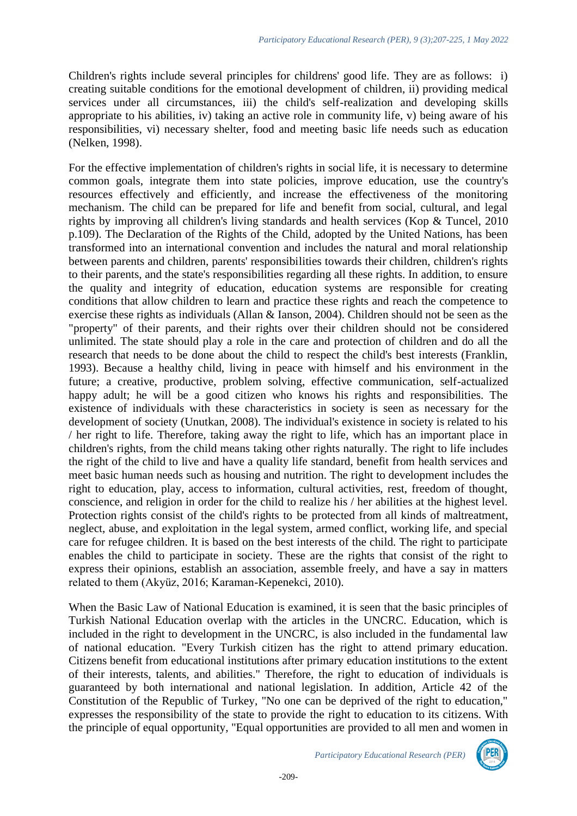Children's rights include several principles for childrens' good life. They are as follows: i) creating suitable conditions for the emotional development of children, ii) providing medical services under all circumstances, iii) the child's self-realization and developing skills appropriate to his abilities, iv) taking an active role in community life, v) being aware of his responsibilities, vi) necessary shelter, food and meeting basic life needs such as education (Nelken, 1998).

For the effective implementation of children's rights in social life, it is necessary to determine common goals, integrate them into state policies, improve education, use the country's resources effectively and efficiently, and increase the effectiveness of the monitoring mechanism. The child can be prepared for life and benefit from social, cultural, and legal rights by improving all children's living standards and health services (Kop & Tuncel, 2010 p.109). The Declaration of the Rights of the Child, adopted by the United Nations, has been transformed into an international convention and includes the natural and moral relationship between parents and children, parents' responsibilities towards their children, children's rights to their parents, and the state's responsibilities regarding all these rights. In addition, to ensure the quality and integrity of education, education systems are responsible for creating conditions that allow children to learn and practice these rights and reach the competence to exercise these rights as individuals (Allan & Ianson, 2004). Children should not be seen as the "property" of their parents, and their rights over their children should not be considered unlimited. The state should play a role in the care and protection of children and do all the research that needs to be done about the child to respect the child's best interests (Franklin, 1993). Because a healthy child, living in peace with himself and his environment in the future; a creative, productive, problem solving, effective communication, self-actualized happy adult; he will be a good citizen who knows his rights and responsibilities. The existence of individuals with these characteristics in society is seen as necessary for the development of society (Unutkan, 2008). The individual's existence in society is related to his / her right to life. Therefore, taking away the right to life, which has an important place in children's rights, from the child means taking other rights naturally. The right to life includes the right of the child to live and have a quality life standard, benefit from health services and meet basic human needs such as housing and nutrition. The right to development includes the right to education, play, access to information, cultural activities, rest, freedom of thought, conscience, and religion in order for the child to realize his / her abilities at the highest level. Protection rights consist of the child's rights to be protected from all kinds of maltreatment, neglect, abuse, and exploitation in the legal system, armed conflict, working life, and special care for refugee children. It is based on the best interests of the child. The right to participate enables the child to participate in society. These are the rights that consist of the right to express their opinions, establish an association, assemble freely, and have a say in matters related to them (Akyüz, 2016; Karaman-Kepenekci, 2010).

When the Basic Law of National Education is examined, it is seen that the basic principles of Turkish National Education overlap with the articles in the UNCRC. Education, which is included in the right to development in the UNCRC, is also included in the fundamental law of national education. "Every Turkish citizen has the right to attend primary education. Citizens benefit from educational institutions after primary education institutions to the extent of their interests, talents, and abilities." Therefore, the right to education of individuals is guaranteed by both international and national legislation. In addition, Article 42 of the Constitution of the Republic of Turkey, "No one can be deprived of the right to education," expresses the responsibility of the state to provide the right to education to its citizens. With the principle of equal opportunity, "Equal opportunities are provided to all men and women in

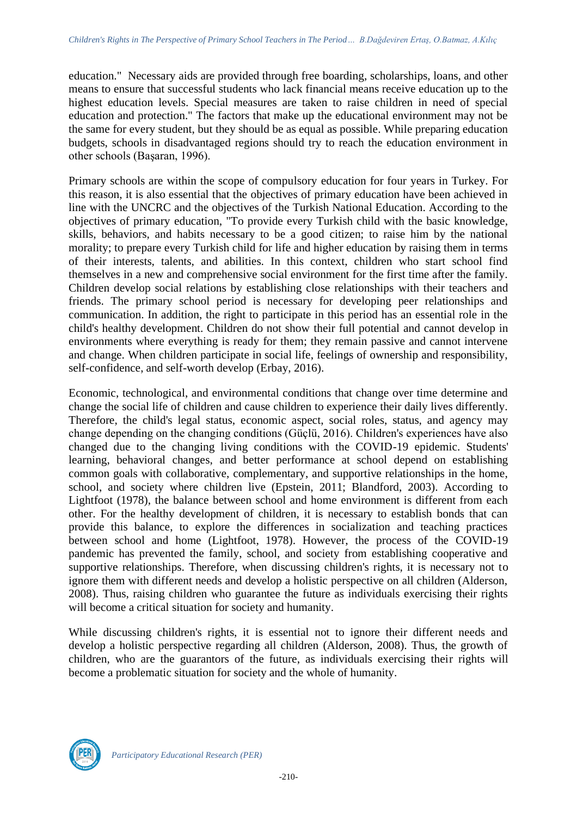education." Necessary aids are provided through free boarding, scholarships, loans, and other means to ensure that successful students who lack financial means receive education up to the highest education levels. Special measures are taken to raise children in need of special education and protection." The factors that make up the educational environment may not be the same for every student, but they should be as equal as possible. While preparing education budgets, schools in disadvantaged regions should try to reach the education environment in other schools (Başaran, 1996).

Primary schools are within the scope of compulsory education for four years in Turkey. For this reason, it is also essential that the objectives of primary education have been achieved in line with the UNCRC and the objectives of the Turkish National Education. According to the objectives of primary education, "To provide every Turkish child with the basic knowledge, skills, behaviors, and habits necessary to be a good citizen; to raise him by the national morality; to prepare every Turkish child for life and higher education by raising them in terms of their interests, talents, and abilities. In this context, children who start school find themselves in a new and comprehensive social environment for the first time after the family. Children develop social relations by establishing close relationships with their teachers and friends. The primary school period is necessary for developing peer relationships and communication. In addition, the right to participate in this period has an essential role in the child's healthy development. Children do not show their full potential and cannot develop in environments where everything is ready for them; they remain passive and cannot intervene and change. When children participate in social life, feelings of ownership and responsibility, self-confidence, and self-worth develop (Erbay, 2016).

Economic, technological, and environmental conditions that change over time determine and change the social life of children and cause children to experience their daily lives differently. Therefore, the child's legal status, economic aspect, social roles, status, and agency may change depending on the changing conditions (Güçlü, 2016). Children's experiences have also changed due to the changing living conditions with the COVID-19 epidemic. Students' learning, behavioral changes, and better performance at school depend on establishing common goals with collaborative, complementary, and supportive relationships in the home, school, and society where children live (Epstein, 2011; Blandford, 2003). According to Lightfoot (1978), the balance between school and home environment is different from each other. For the healthy development of children, it is necessary to establish bonds that can provide this balance, to explore the differences in socialization and teaching practices between school and home (Lightfoot, 1978). However, the process of the COVID-19 pandemic has prevented the family, school, and society from establishing cooperative and supportive relationships. Therefore, when discussing children's rights, it is necessary not to ignore them with different needs and develop a holistic perspective on all children (Alderson, 2008). Thus, raising children who guarantee the future as individuals exercising their rights will become a critical situation for society and humanity.

While discussing children's rights, it is essential not to ignore their different needs and develop a holistic perspective regarding all children (Alderson, 2008). Thus, the growth of children, who are the guarantors of the future, as individuals exercising their rights will become a problematic situation for society and the whole of humanity.

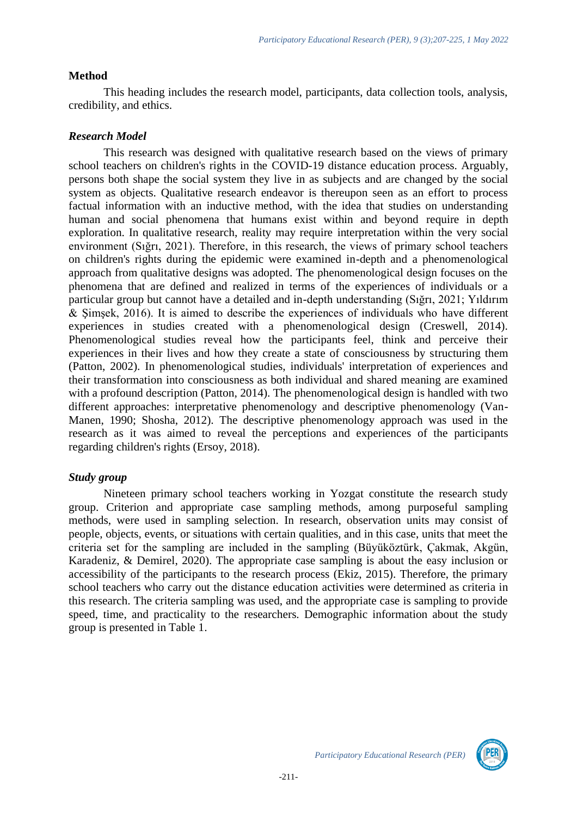# **Method**

This heading includes the research model, participants, data collection tools, analysis, credibility, and ethics.

# *Research Model*

This research was designed with qualitative research based on the views of primary school teachers on children's rights in the COVID-19 distance education process. Arguably, persons both shape the social system they live in as subjects and are changed by the social system as objects. Qualitative research endeavor is thereupon seen as an effort to process factual information with an inductive method, with the idea that studies on understanding human and social phenomena that humans exist within and beyond require in depth exploration. In qualitative research, reality may require interpretation within the very social environment (Sığrı, 2021). Therefore, in this research, the views of primary school teachers on children's rights during the epidemic were examined in-depth and a phenomenological approach from qualitative designs was adopted. The phenomenological design focuses on the phenomena that are defined and realized in terms of the experiences of individuals or a particular group but cannot have a detailed and in-depth understanding (Sığrı, 2021; Yıldırım & Şimşek, 2016). It is aimed to describe the experiences of individuals who have different experiences in studies created with a phenomenological design (Creswell, 2014). Phenomenological studies reveal how the participants feel, think and perceive their experiences in their lives and how they create a state of consciousness by structuring them (Patton, 2002). In phenomenological studies, individuals' interpretation of experiences and their transformation into consciousness as both individual and shared meaning are examined with a profound description (Patton, 2014). The phenomenological design is handled with two different approaches: interpretative phenomenology and descriptive phenomenology (Van-Manen, 1990; Shosha, 2012). The descriptive phenomenology approach was used in the research as it was aimed to reveal the perceptions and experiences of the participants regarding children's rights (Ersoy, 2018).

## *Study group*

Nineteen primary school teachers working in Yozgat constitute the research study group. Criterion and appropriate case sampling methods, among purposeful sampling methods, were used in sampling selection. In research, observation units may consist of people, objects, events, or situations with certain qualities, and in this case, units that meet the criteria set for the sampling are included in the sampling (Büyüköztürk, Çakmak, Akgün, Karadeniz, & Demirel, 2020). The appropriate case sampling is about the easy inclusion or accessibility of the participants to the research process (Ekiz, 2015). Therefore, the primary school teachers who carry out the distance education activities were determined as criteria in this research. The criteria sampling was used, and the appropriate case is sampling to provide speed, time, and practicality to the researchers. Demographic information about the study group is presented in Table 1.

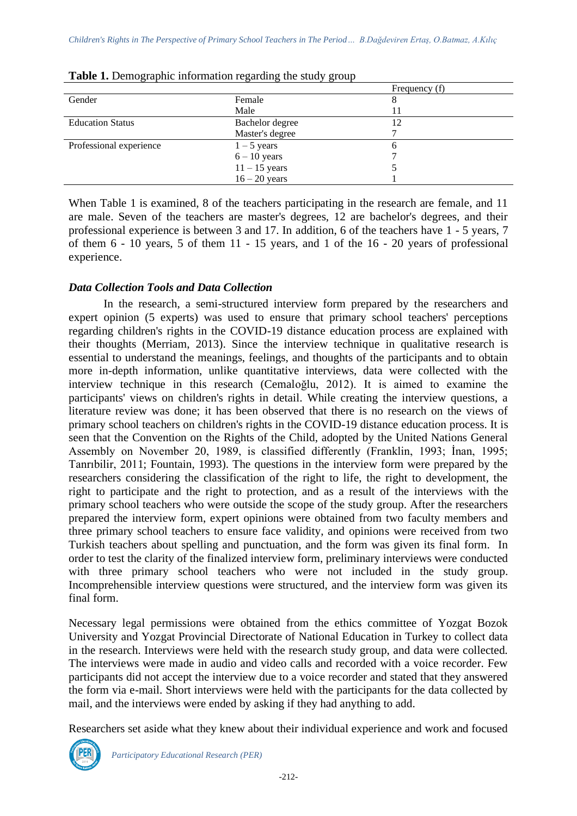|                         |                 | Frequency (f) |
|-------------------------|-----------------|---------------|
| Gender                  | Female          |               |
|                         | Male            |               |
| <b>Education Status</b> | Bachelor degree | 12            |
|                         | Master's degree |               |
| Professional experience | $1 - 5$ years   |               |
|                         | $6 - 10$ years  |               |
|                         | $11 - 15$ years |               |
|                         | $16 - 20$ years |               |
|                         |                 |               |

**Table 1.** Demographic information regarding the study group

When Table 1 is examined, 8 of the teachers participating in the research are female, and 11 are male. Seven of the teachers are master's degrees, 12 are bachelor's degrees, and their professional experience is between 3 and 17. In addition, 6 of the teachers have 1 - 5 years, 7 of them 6 - 10 years, 5 of them 11 - 15 years, and 1 of the 16 - 20 years of professional experience.

#### *Data Collection Tools and Data Collection*

In the research, a semi-structured interview form prepared by the researchers and expert opinion (5 experts) was used to ensure that primary school teachers' perceptions regarding children's rights in the COVID-19 distance education process are explained with their thoughts (Merriam, 2013). Since the interview technique in qualitative research is essential to understand the meanings, feelings, and thoughts of the participants and to obtain more in-depth information, unlike quantitative interviews, data were collected with the interview technique in this research (Cemaloğlu, 2012). It is aimed to examine the participants' views on children's rights in detail. While creating the interview questions, a literature review was done; it has been observed that there is no research on the views of primary school teachers on children's rights in the COVID-19 distance education process. It is seen that the Convention on the Rights of the Child, adopted by the United Nations General Assembly on November 20, 1989, is classified differently (Franklin, 1993; İnan, 1995; Tanrıbilir, 2011; Fountain, 1993). The questions in the interview form were prepared by the researchers considering the classification of the right to life, the right to development, the right to participate and the right to protection, and as a result of the interviews with the primary school teachers who were outside the scope of the study group. After the researchers prepared the interview form, expert opinions were obtained from two faculty members and three primary school teachers to ensure face validity, and opinions were received from two Turkish teachers about spelling and punctuation, and the form was given its final form. In order to test the clarity of the finalized interview form, preliminary interviews were conducted with three primary school teachers who were not included in the study group. Incomprehensible interview questions were structured, and the interview form was given its final form.

Necessary legal permissions were obtained from the ethics committee of Yozgat Bozok University and Yozgat Provincial Directorate of National Education in Turkey to collect data in the research. Interviews were held with the research study group, and data were collected. The interviews were made in audio and video calls and recorded with a voice recorder. Few participants did not accept the interview due to a voice recorder and stated that they answered the form via e-mail. Short interviews were held with the participants for the data collected by mail, and the interviews were ended by asking if they had anything to add.

Researchers set aside what they knew about their individual experience and work and focused

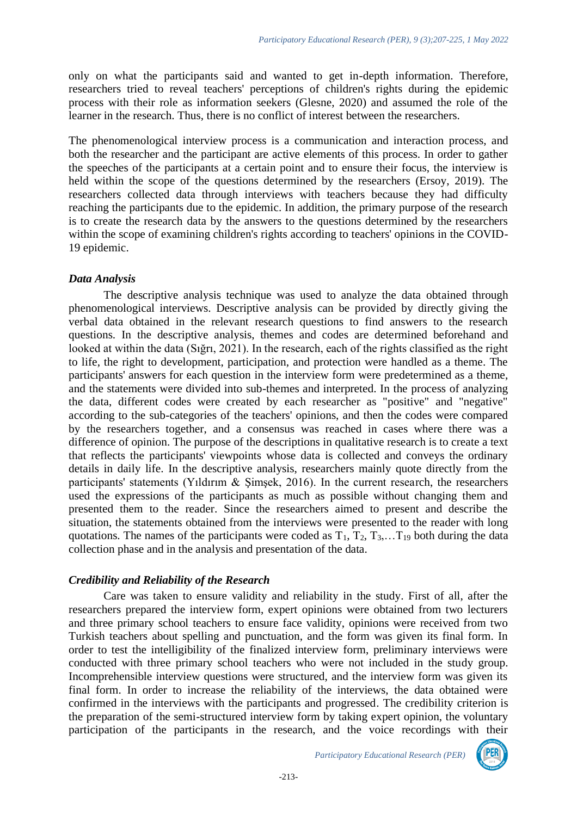only on what the participants said and wanted to get in-depth information. Therefore, researchers tried to reveal teachers' perceptions of children's rights during the epidemic process with their role as information seekers (Glesne, 2020) and assumed the role of the learner in the research. Thus, there is no conflict of interest between the researchers.

The phenomenological interview process is a communication and interaction process, and both the researcher and the participant are active elements of this process. In order to gather the speeches of the participants at a certain point and to ensure their focus, the interview is held within the scope of the questions determined by the researchers (Ersoy, 2019). The researchers collected data through interviews with teachers because they had difficulty reaching the participants due to the epidemic. In addition, the primary purpose of the research is to create the research data by the answers to the questions determined by the researchers within the scope of examining children's rights according to teachers' opinions in the COVID-19 epidemic.

## *Data Analysis*

The descriptive analysis technique was used to analyze the data obtained through phenomenological interviews. Descriptive analysis can be provided by directly giving the verbal data obtained in the relevant research questions to find answers to the research questions. In the descriptive analysis, themes and codes are determined beforehand and looked at within the data (Sığrı, 2021). In the research, each of the rights classified as the right to life, the right to development, participation, and protection were handled as a theme. The participants' answers for each question in the interview form were predetermined as a theme, and the statements were divided into sub-themes and interpreted. In the process of analyzing the data, different codes were created by each researcher as "positive" and "negative" according to the sub-categories of the teachers' opinions, and then the codes were compared by the researchers together, and a consensus was reached in cases where there was a difference of opinion. The purpose of the descriptions in qualitative research is to create a text that reflects the participants' viewpoints whose data is collected and conveys the ordinary details in daily life. In the descriptive analysis, researchers mainly quote directly from the participants' statements (Yıldırım & Şimşek, 2016). In the current research, the researchers used the expressions of the participants as much as possible without changing them and presented them to the reader. Since the researchers aimed to present and describe the situation, the statements obtained from the interviews were presented to the reader with long quotations. The names of the participants were coded as  $T_1, T_2, T_3, \ldots, T_{19}$  both during the data collection phase and in the analysis and presentation of the data.

## *Credibility and Reliability of the Research*

Care was taken to ensure validity and reliability in the study. First of all, after the researchers prepared the interview form, expert opinions were obtained from two lecturers and three primary school teachers to ensure face validity, opinions were received from two Turkish teachers about spelling and punctuation, and the form was given its final form. In order to test the intelligibility of the finalized interview form, preliminary interviews were conducted with three primary school teachers who were not included in the study group. Incomprehensible interview questions were structured, and the interview form was given its final form. In order to increase the reliability of the interviews, the data obtained were confirmed in the interviews with the participants and progressed. The credibility criterion is the preparation of the semi-structured interview form by taking expert opinion, the voluntary participation of the participants in the research, and the voice recordings with their

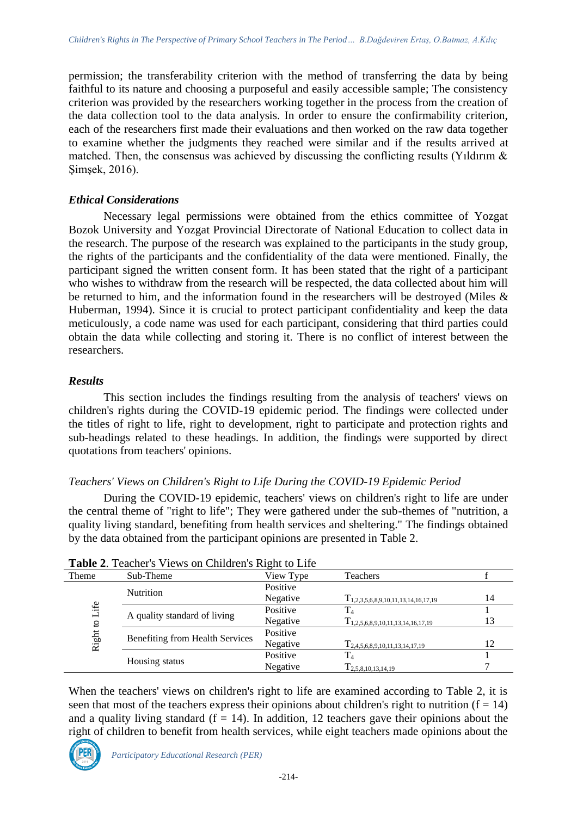permission; the transferability criterion with the method of transferring the data by being faithful to its nature and choosing a purposeful and easily accessible sample; The consistency criterion was provided by the researchers working together in the process from the creation of the data collection tool to the data analysis. In order to ensure the confirmability criterion, each of the researchers first made their evaluations and then worked on the raw data together to examine whether the judgments they reached were similar and if the results arrived at matched. Then, the consensus was achieved by discussing the conflicting results (Yıldırım & Şimşek, 2016).

## *Ethical Considerations*

Necessary legal permissions were obtained from the ethics committee of Yozgat Bozok University and Yozgat Provincial Directorate of National Education to collect data in the research. The purpose of the research was explained to the participants in the study group, the rights of the participants and the confidentiality of the data were mentioned. Finally, the participant signed the written consent form. It has been stated that the right of a participant who wishes to withdraw from the research will be respected, the data collected about him will be returned to him, and the information found in the researchers will be destroyed (Miles & Huberman, 1994). Since it is crucial to protect participant confidentiality and keep the data meticulously, a code name was used for each participant, considering that third parties could obtain the data while collecting and storing it. There is no conflict of interest between the researchers.

# *Results*

This section includes the findings resulting from the analysis of teachers' views on children's rights during the COVID-19 epidemic period. The findings were collected under the titles of right to life, right to development, right to participate and protection rights and sub-headings related to these headings. In addition, the findings were supported by direct quotations from teachers' opinions.

# *Teachers' Views on Children's Right to Life During the COVID-19 Epidemic Period*

During the COVID-19 epidemic, teachers' views on children's right to life are under the central theme of "right to life"; They were gathered under the sub-themes of "nutrition, a quality living standard, benefiting from health services and sheltering." The findings obtained by the data obtained from the participant opinions are presented in Table 2.

| Theme        | Sub-Theme                       | View Type | Teachers                                 |    |
|--------------|---------------------------------|-----------|------------------------------------------|----|
|              | <b>Nutrition</b>                | Positive  |                                          |    |
|              |                                 | Negative  | $T_{1,2,3,5,6,8,9,10,11,13,14,16,17,19}$ | 14 |
| Life         | A quality standard of living    | Positive  |                                          |    |
| $\mathbf{c}$ |                                 | Negative  | $T_{1,2,5,6,8,9,10,11,13,14,16,17,19}$   | 13 |
| Right        | Benefiting from Health Services | Positive  |                                          |    |
|              |                                 | Negative  | $T_{2,4,5,6,8,9,10,11,13,14,17,19}$      | 12 |
|              |                                 | Positive  |                                          |    |
|              | Housing status                  | Negative  | $T_{2,5,8,10,13,14,19}$                  |    |

|  |  | Table 2. Teacher's Views on Children's Right to Life |
|--|--|------------------------------------------------------|
|  |  |                                                      |

When the teachers' views on children's right to life are examined according to Table 2, it is seen that most of the teachers express their opinions about children's right to nutrition  $(f = 14)$ and a quality living standard ( $f = 14$ ). In addition, 12 teachers gave their opinions about the right of children to benefit from health services, while eight teachers made opinions about the

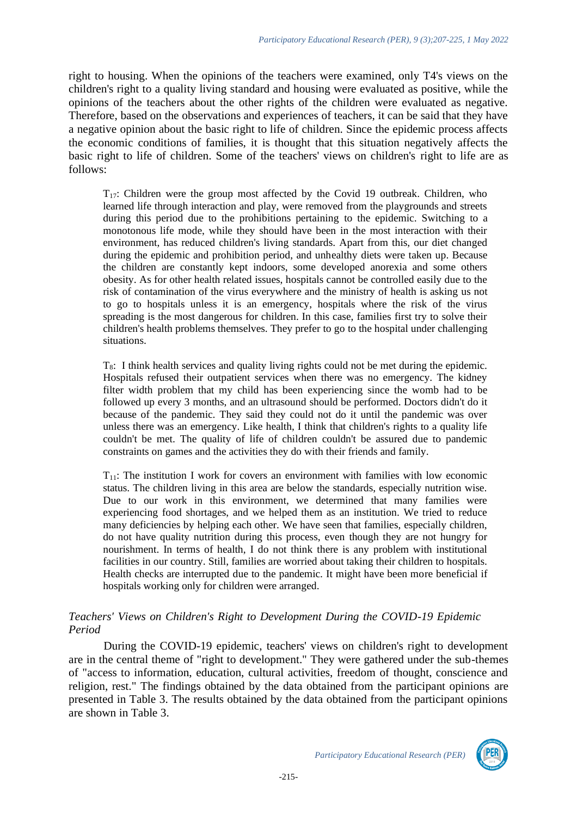right to housing. When the opinions of the teachers were examined, only T4's views on the children's right to a quality living standard and housing were evaluated as positive, while the opinions of the teachers about the other rights of the children were evaluated as negative. Therefore, based on the observations and experiences of teachers, it can be said that they have a negative opinion about the basic right to life of children. Since the epidemic process affects the economic conditions of families, it is thought that this situation negatively affects the basic right to life of children. Some of the teachers' views on children's right to life are as follows:

 $T_{17}$ : Children were the group most affected by the Covid 19 outbreak. Children, who learned life through interaction and play, were removed from the playgrounds and streets during this period due to the prohibitions pertaining to the epidemic. Switching to a monotonous life mode, while they should have been in the most interaction with their environment, has reduced children's living standards. Apart from this, our diet changed during the epidemic and prohibition period, and unhealthy diets were taken up. Because the children are constantly kept indoors, some developed anorexia and some others obesity. As for other health related issues, hospitals cannot be controlled easily due to the risk of contamination of the virus everywhere and the ministry of health is asking us not to go to hospitals unless it is an emergency, hospitals where the risk of the virus spreading is the most dangerous for children. In this case, families first try to solve their children's health problems themselves. They prefer to go to the hospital under challenging situations.

 $T_8$ : I think health services and quality living rights could not be met during the epidemic. Hospitals refused their outpatient services when there was no emergency. The kidney filter width problem that my child has been experiencing since the womb had to be followed up every 3 months, and an ultrasound should be performed. Doctors didn't do it because of the pandemic. They said they could not do it until the pandemic was over unless there was an emergency. Like health, I think that children's rights to a quality life couldn't be met. The quality of life of children couldn't be assured due to pandemic constraints on games and the activities they do with their friends and family.

 $T_{11}$ : The institution I work for covers an environment with families with low economic status. The children living in this area are below the standards, especially nutrition wise. Due to our work in this environment, we determined that many families were experiencing food shortages, and we helped them as an institution. We tried to reduce many deficiencies by helping each other. We have seen that families, especially children, do not have quality nutrition during this process, even though they are not hungry for nourishment. In terms of health, I do not think there is any problem with institutional facilities in our country. Still, families are worried about taking their children to hospitals. Health checks are interrupted due to the pandemic. It might have been more beneficial if hospitals working only for children were arranged.

## *Teachers' Views on Children's Right to Development During the COVID-19 Epidemic Period*

During the COVID-19 epidemic, teachers' views on children's right to development are in the central theme of "right to development." They were gathered under the sub-themes of "access to information, education, cultural activities, freedom of thought, conscience and religion, rest." The findings obtained by the data obtained from the participant opinions are presented in Table 3. The results obtained by the data obtained from the participant opinions are shown in Table 3.

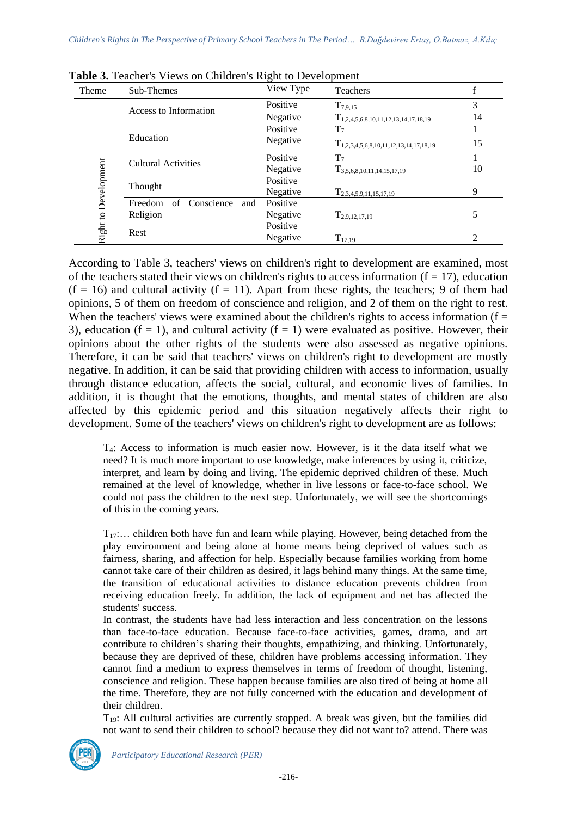| Theme                                        | Sub-Themes                         | View Type | Teachers                                    |    |
|----------------------------------------------|------------------------------------|-----------|---------------------------------------------|----|
|                                              | Access to Information              | Positive  | $T_{7,9,15}$                                | 3  |
|                                              |                                    | Negative  | $T_{1,2,4,5,6,8,10,11,12,13,14,17,18,19}$   | 14 |
|                                              |                                    | Positive  | $T_7$                                       |    |
| Education<br>Right to Development<br>Thought |                                    | Negative  | $T_{1,2,3,4,5,6,8,10,11,12,13,14,17,18,19}$ | 15 |
|                                              | <b>Cultural Activities</b>         | Positive  | $T_7$                                       |    |
|                                              |                                    | Negative  | $T_{3,5,6,8,10,11,14,15,17,19}$             | 10 |
|                                              |                                    | Positive  |                                             |    |
|                                              |                                    | Negative  | $T_{2,3,4,5,9,11,15,17,19}$                 | 9  |
|                                              | Conscience<br>of<br>Freedom<br>and | Positive  |                                             |    |
|                                              | Religion                           | Negative  | $T_{2,9,12,17,19}$                          | 5  |
|                                              |                                    | Positive  |                                             |    |
|                                              | Rest                               | Negative  | $T_{17,19}$                                 | 2  |

**Table 3.** Teacher's Views on Children's Right to Development

According to Table 3, teachers' views on children's right to development are examined, most of the teachers stated their views on children's rights to access information ( $f = 17$ ), education  $(f = 16)$  and cultural activity  $(f = 11)$ . Apart from these rights, the teachers; 9 of them had opinions, 5 of them on freedom of conscience and religion, and 2 of them on the right to rest. When the teachers' views were examined about the children's rights to access information ( $f =$ 3), education ( $f = 1$ ), and cultural activity ( $f = 1$ ) were evaluated as positive. However, their opinions about the other rights of the students were also assessed as negative opinions. Therefore, it can be said that teachers' views on children's right to development are mostly negative. In addition, it can be said that providing children with access to information, usually through distance education, affects the social, cultural, and economic lives of families. In addition, it is thought that the emotions, thoughts, and mental states of children are also affected by this epidemic period and this situation negatively affects their right to development. Some of the teachers' views on children's right to development are as follows:

T4: Access to information is much easier now. However, is it the data itself what we need? It is much more important to use knowledge, make inferences by using it, criticize, interpret, and learn by doing and living. The epidemic deprived children of these. Much remained at the level of knowledge, whether in live lessons or face-to-face school. We could not pass the children to the next step. Unfortunately, we will see the shortcomings of this in the coming years.

 $T_{17}$ :... children both have fun and learn while playing. However, being detached from the play environment and being alone at home means being deprived of values such as fairness, sharing, and affection for help. Especially because families working from home cannot take care of their children as desired, it lags behind many things. At the same time, the transition of educational activities to distance education prevents children from receiving education freely. In addition, the lack of equipment and net has affected the students' success.

In contrast, the students have had less interaction and less concentration on the lessons than face-to-face education. Because face-to-face activities, games, drama, and art contribute to children's sharing their thoughts, empathizing, and thinking. Unfortunately, because they are deprived of these, children have problems accessing information. They cannot find a medium to express themselves in terms of freedom of thought, listening, conscience and religion. These happen because families are also tired of being at home all the time. Therefore, they are not fully concerned with the education and development of their children.

T19: All cultural activities are currently stopped. A break was given, but the families did not want to send their children to school? because they did not want to? attend. There was



*Participatory Educational Research (PER)*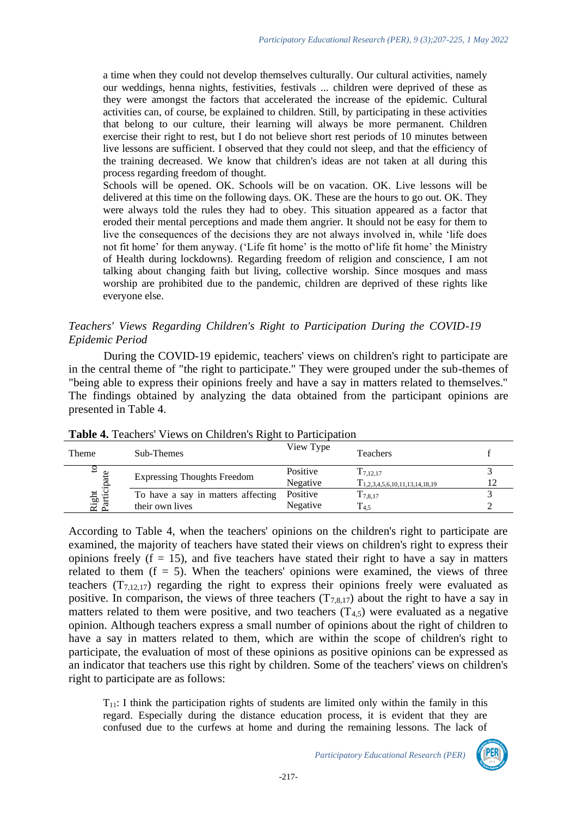a time when they could not develop themselves culturally. Our cultural activities, namely our weddings, henna nights, festivities, festivals ... children were deprived of these as they were amongst the factors that accelerated the increase of the epidemic. Cultural activities can, of course, be explained to children. Still, by participating in these activities that belong to our culture, their learning will always be more permanent. Children exercise their right to rest, but I do not believe short rest periods of 10 minutes between live lessons are sufficient. I observed that they could not sleep, and that the efficiency of the training decreased. We know that children's ideas are not taken at all during this process regarding freedom of thought.

Schools will be opened. OK. Schools will be on vacation. OK. Live lessons will be delivered at this time on the following days. OK. These are the hours to go out. OK. They were always told the rules they had to obey. This situation appeared as a factor that eroded their mental perceptions and made them angrier. It should not be easy for them to live the consequences of the decisions they are not always involved in, while 'life does not fit home' for them anyway. ('Life fit home' is the motto of'life fit home' the Ministry of Health during lockdowns). Regarding freedom of religion and conscience, I am not talking about changing faith but living, collective worship. Since mosques and mass worship are prohibited due to the pandemic, children are deprived of these rights like everyone else.

## *Teachers' Views Regarding Children's Right to Participation During the COVID-19 Epidemic Period*

During the COVID-19 epidemic, teachers' views on children's right to participate are in the central theme of "the right to participate." They were grouped under the sub-themes of "being able to express their opinions freely and have a say in matters related to themselves." The findings obtained by analyzing the data obtained from the participant opinions are presented in Table 4.

| <b>THOIC II TURNIUM THURS ON CHINESITY IN EXECUTION</b> |                                    |           |                                     |  |
|---------------------------------------------------------|------------------------------------|-----------|-------------------------------------|--|
| Theme                                                   | Sub-Themes                         | View Type | <b>Teachers</b>                     |  |
| ュ                                                       | <b>Expressing Thoughts Freedom</b> | Positive  | $T_{7,12,17}$                       |  |
|                                                         |                                    | Negative  | $T_{1,2,3,4,5,6,10,11,13,14,18,19}$ |  |
| Right to<br>Participate                                 | To have a say in matters affecting | Positive  | ${\rm T}_{7,8,17}$                  |  |
|                                                         | their own lives                    | Negative  | $T_{4.5}$                           |  |

## **Table 4.** Teachers' Views on Children's Right to Participation

According to Table 4, when the teachers' opinions on the children's right to participate are examined, the majority of teachers have stated their views on children's right to express their opinions freely  $(f = 15)$ , and five teachers have stated their right to have a say in matters related to them  $(f = 5)$ . When the teachers' opinions were examined, the views of three teachers  $(T_{7,12,17})$  regarding the right to express their opinions freely were evaluated as positive. In comparison, the views of three teachers  $(T_{7,8,17})$  about the right to have a say in matters related to them were positive, and two teachers  $(T_{4,5})$  were evaluated as a negative opinion. Although teachers express a small number of opinions about the right of children to have a say in matters related to them, which are within the scope of children's right to participate, the evaluation of most of these opinions as positive opinions can be expressed as an indicator that teachers use this right by children. Some of the teachers' views on children's right to participate are as follows:

 $T_{11}$ : I think the participation rights of students are limited only within the family in this regard. Especially during the distance education process, it is evident that they are confused due to the curfews at home and during the remaining lessons. The lack of

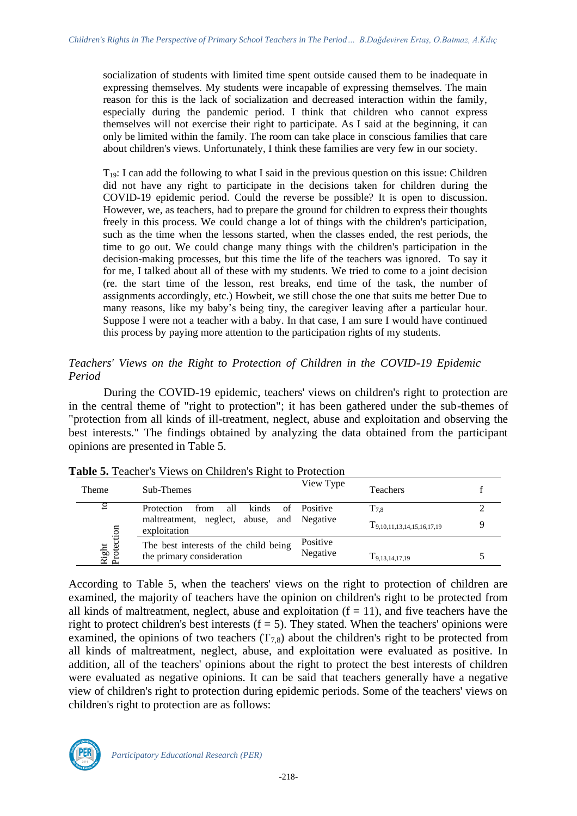socialization of students with limited time spent outside caused them to be inadequate in expressing themselves. My students were incapable of expressing themselves. The main reason for this is the lack of socialization and decreased interaction within the family, especially during the pandemic period. I think that children who cannot express themselves will not exercise their right to participate. As I said at the beginning, it can only be limited within the family. The room can take place in conscious families that care about children's views. Unfortunately, I think these families are very few in our society.

 $T_{19}$ : I can add the following to what I said in the previous question on this issue: Children did not have any right to participate in the decisions taken for children during the COVID-19 epidemic period. Could the reverse be possible? It is open to discussion. However, we, as teachers, had to prepare the ground for children to express their thoughts freely in this process. We could change a lot of things with the children's participation, such as the time when the lessons started, when the classes ended, the rest periods, the time to go out. We could change many things with the children's participation in the decision-making processes, but this time the life of the teachers was ignored. To say it for me, I talked about all of these with my students. We tried to come to a joint decision (re. the start time of the lesson, rest breaks, end time of the task, the number of assignments accordingly, etc.) Howbeit, we still chose the one that suits me better Due to many reasons, like my baby's being tiny, the caregiver leaving after a particular hour. Suppose I were not a teacher with a baby. In that case, I am sure I would have continued this process by paying more attention to the participation rights of my students.

## *Teachers' Views on the Right to Protection of Children in the COVID-19 Epidemic Period*

During the COVID-19 epidemic, teachers' views on children's right to protection are in the central theme of "right to protection"; it has been gathered under the sub-themes of "protection from all kinds of ill-treatment, neglect, abuse and exploitation and observing the best interests." The findings obtained by analyzing the data obtained from the participant opinions are presented in Table 5.

| Theme               | Sub-Themes                                                    | View Type       | <b>Teachers</b>                 |  |
|---------------------|---------------------------------------------------------------|-----------------|---------------------------------|--|
|                     | Protection<br>all<br>kinds<br>from<br>of                      | <b>Positive</b> | $\mathrm{T}_{7,8}$              |  |
| Right<br>Protection | abuse, and Negative<br>maltreatment, neglect,<br>exploitation |                 | $T_{9,10,11,13,14,15,16,17,19}$ |  |
|                     | The best interests of the child being                         | Positive        |                                 |  |
|                     | the primary consideration                                     | Negative        | $T_{9,13,14,17,19}$             |  |

**Table 5.** Teacher's Views on Children's Right to Protection

According to Table 5, when the teachers' views on the right to protection of children are examined, the majority of teachers have the opinion on children's right to be protected from all kinds of maltreatment, neglect, abuse and exploitation  $(f = 11)$ , and five teachers have the right to protect children's best interests  $(f = 5)$ . They stated. When the teachers' opinions were examined, the opinions of two teachers  $(T_{7,8})$  about the children's right to be protected from all kinds of maltreatment, neglect, abuse, and exploitation were evaluated as positive. In addition, all of the teachers' opinions about the right to protect the best interests of children were evaluated as negative opinions. It can be said that teachers generally have a negative view of children's right to protection during epidemic periods. Some of the teachers' views on children's right to protection are as follows:

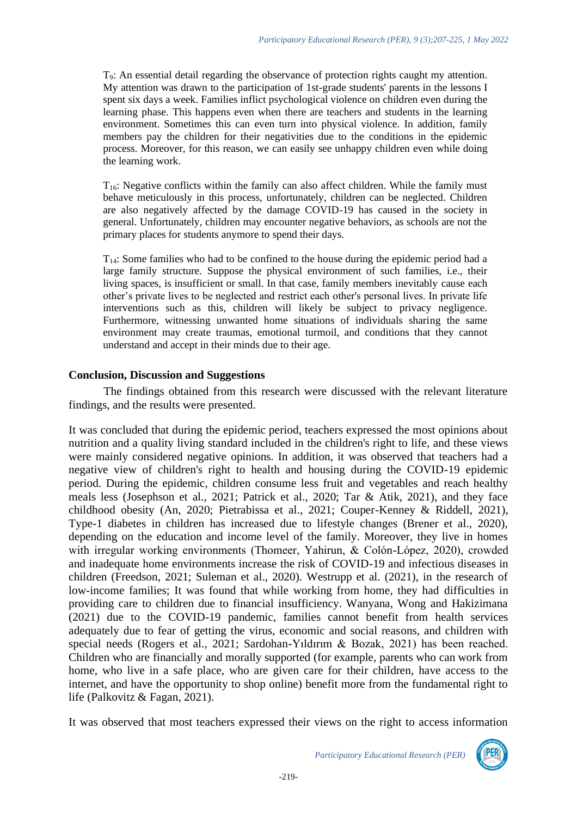T9: An essential detail regarding the observance of protection rights caught my attention. My attention was drawn to the participation of 1st-grade students' parents in the lessons I spent six days a week. Families inflict psychological violence on children even during the learning phase. This happens even when there are teachers and students in the learning environment. Sometimes this can even turn into physical violence. In addition, family members pay the children for their negativities due to the conditions in the epidemic process. Moreover, for this reason, we can easily see unhappy children even while doing the learning work.

T16: Negative conflicts within the family can also affect children. While the family must behave meticulously in this process, unfortunately, children can be neglected. Children are also negatively affected by the damage COVID-19 has caused in the society in general. Unfortunately, children may encounter negative behaviors, as schools are not the primary places for students anymore to spend their days.

 $T_{14}$ : Some families who had to be confined to the house during the epidemic period had a large family structure. Suppose the physical environment of such families, i.e., their living spaces, is insufficient or small. In that case, family members inevitably cause each other's private lives to be neglected and restrict each other's personal lives. In private life interventions such as this, children will likely be subject to privacy negligence. Furthermore, witnessing unwanted home situations of individuals sharing the same environment may create traumas, emotional turmoil, and conditions that they cannot understand and accept in their minds due to their age.

#### **Conclusion, Discussion and Suggestions**

The findings obtained from this research were discussed with the relevant literature findings, and the results were presented.

It was concluded that during the epidemic period, teachers expressed the most opinions about nutrition and a quality living standard included in the children's right to life, and these views were mainly considered negative opinions. In addition, it was observed that teachers had a negative view of children's right to health and housing during the COVID-19 epidemic period. During the epidemic, children consume less fruit and vegetables and reach healthy meals less (Josephson et al., 2021; Patrick et al., 2020; Tar & Atik, 2021), and they face childhood obesity (An, 2020; Pietrabissa et al., 2021; Couper-Kenney & Riddell, 2021), Type-1 diabetes in children has increased due to lifestyle changes (Brener et al., 2020), depending on the education and income level of the family. Moreover, they live in homes with irregular working environments (Thomeer, Yahirun, & Colón-López, 2020), crowded and inadequate home environments increase the risk of COVID-19 and infectious diseases in children (Freedson, 2021; Suleman et al., 2020). Westrupp et al. (2021), in the research of low-income families; It was found that while working from home, they had difficulties in providing care to children due to financial insufficiency. Wanyana, Wong and Hakizimana (2021) due to the COVID-19 pandemic, families cannot benefit from health services adequately due to fear of getting the virus, economic and social reasons, and children with special needs (Rogers et al., 2021; Sardohan-Yıldırım & Bozak, 2021) has been reached. Children who are financially and morally supported (for example, parents who can work from home, who live in a safe place, who are given care for their children, have access to the internet, and have the opportunity to shop online) benefit more from the fundamental right to life (Palkovitz & Fagan, 2021).

It was observed that most teachers expressed their views on the right to access information

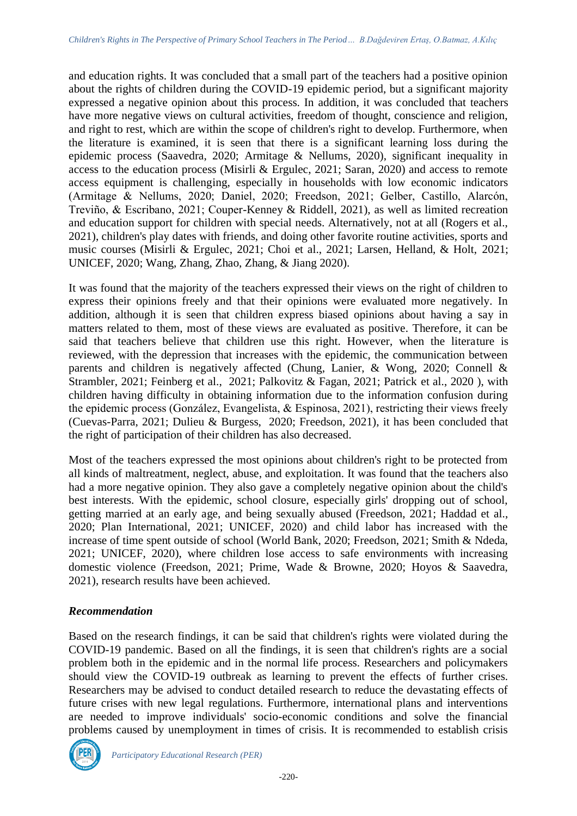and education rights. It was concluded that a small part of the teachers had a positive opinion about the rights of children during the COVID-19 epidemic period, but a significant majority expressed a negative opinion about this process. In addition, it was concluded that teachers have more negative views on cultural activities, freedom of thought, conscience and religion, and right to rest, which are within the scope of children's right to develop. Furthermore, when the literature is examined, it is seen that there is a significant learning loss during the epidemic process (Saavedra, 2020; Armitage & Nellums, 2020), significant inequality in access to the education process (Misirli & Ergulec, 2021; Saran, 2020) and access to remote access equipment is challenging, especially in households with low economic indicators (Armitage & Nellums, 2020; Daniel, 2020; Freedson, 2021; Gelber, Castillo, Alarcón, Treviño, & Escribano, 2021; Couper-Kenney & Riddell, 2021), as well as limited recreation and education support for children with special needs. Alternatively, not at all (Rogers et al., 2021), children's play dates with friends, and doing other favorite routine activities, sports and music courses (Misirli & Ergulec, 2021; Choi et al., 2021; Larsen, Helland, & Holt, 2021; UNICEF, 2020; Wang, Zhang, Zhao, Zhang, & Jiang 2020).

It was found that the majority of the teachers expressed their views on the right of children to express their opinions freely and that their opinions were evaluated more negatively. In addition, although it is seen that children express biased opinions about having a say in matters related to them, most of these views are evaluated as positive. Therefore, it can be said that teachers believe that children use this right. However, when the literature is reviewed, with the depression that increases with the epidemic, the communication between parents and children is negatively affected (Chung, Lanier, & Wong, 2020; Connell & Strambler, 2021; Feinberg et al., 2021; Palkovitz & Fagan, 2021; Patrick et al., 2020 ), with children having difficulty in obtaining information due to the information confusion during the epidemic process (González, Evangelista, & Espinosa, 2021), restricting their views freely (Cuevas-Parra, 2021; Dulieu & Burgess, 2020; Freedson, 2021), it has been concluded that the right of participation of their children has also decreased.

Most of the teachers expressed the most opinions about children's right to be protected from all kinds of maltreatment, neglect, abuse, and exploitation. It was found that the teachers also had a more negative opinion. They also gave a completely negative opinion about the child's best interests. With the epidemic, school closure, especially girls' dropping out of school, getting married at an early age, and being sexually abused (Freedson, 2021; Haddad et al., 2020; Plan International, 2021; UNICEF, 2020) and child labor has increased with the increase of time spent outside of school (World Bank, 2020; Freedson, 2021; Smith & Ndeda, 2021; UNICEF, 2020), where children lose access to safe environments with increasing domestic violence (Freedson, 2021; Prime, Wade & Browne, 2020; Hoyos & Saavedra, 2021), research results have been achieved.

## *Recommendation*

Based on the research findings, it can be said that children's rights were violated during the COVID-19 pandemic. Based on all the findings, it is seen that children's rights are a social problem both in the epidemic and in the normal life process. Researchers and policymakers should view the COVID-19 outbreak as learning to prevent the effects of further crises. Researchers may be advised to conduct detailed research to reduce the devastating effects of future crises with new legal regulations. Furthermore, international plans and interventions are needed to improve individuals' socio-economic conditions and solve the financial problems caused by unemployment in times of crisis. It is recommended to establish crisis

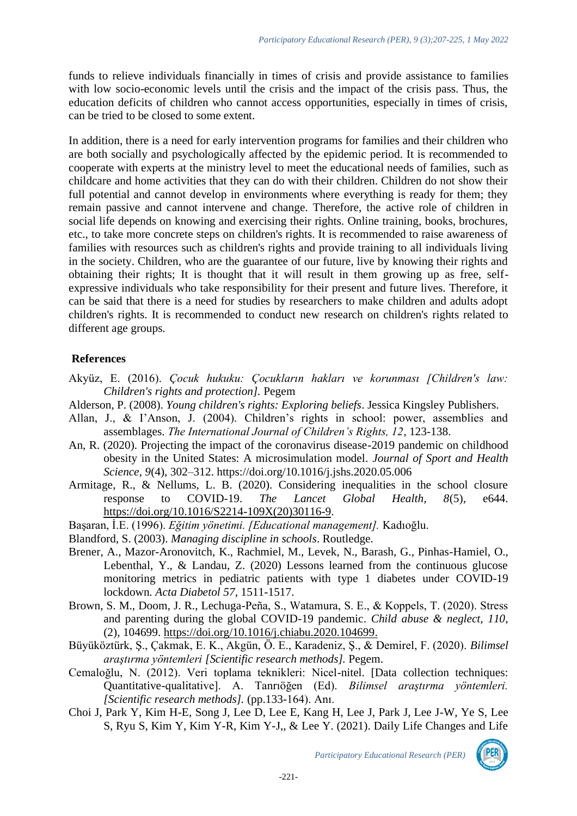funds to relieve individuals financially in times of crisis and provide assistance to families with low socio-economic levels until the crisis and the impact of the crisis pass. Thus, the education deficits of children who cannot access opportunities, especially in times of crisis, can be tried to be closed to some extent.

In addition, there is a need for early intervention programs for families and their children who are both socially and psychologically affected by the epidemic period. It is recommended to cooperate with experts at the ministry level to meet the educational needs of families, such as childcare and home activities that they can do with their children. Children do not show their full potential and cannot develop in environments where everything is ready for them; they remain passive and cannot intervene and change. Therefore, the active role of children in social life depends on knowing and exercising their rights. Online training, books, brochures, etc., to take more concrete steps on children's rights. It is recommended to raise awareness of families with resources such as children's rights and provide training to all individuals living in the society. Children, who are the guarantee of our future, live by knowing their rights and obtaining their rights; It is thought that it will result in them growing up as free, selfexpressive individuals who take responsibility for their present and future lives. Therefore, it can be said that there is a need for studies by researchers to make children and adults adopt children's rights. It is recommended to conduct new research on children's rights related to different age groups.

## **References**

- Akyüz, E. (2016). *Çocuk hukuku: Çocukların hakları ve korunması [Children's law: Children's rights and protection].* Pegem
- Alderson, P. (2008). *Young children's rights: Exploring beliefs*. Jessica Kingsley Publishers.
- Allan, J., & I'Anson, J. (2004). Children's rights in school: power, assemblies and assemblages. *The International Journal of Children's Rights, 12,* 123-138.
- An, R. (2020). Projecting the impact of the coronavirus disease-2019 pandemic on childhood obesity in the United States: A microsimulation model. *Journal of Sport and Health Science, 9*(4), 302–312. https://doi.org/10.1016/j.jshs.2020.05.006
- Armitage, R., & Nellums, L. B. (2020). Considering inequalities in the school closure response to COVID-19. *The Lancet Global Health, 8*(5), e644. [https://doi.org/10.1016/S2214-109X\(20\)30116-9.](https://doi.org/10.1016/S2214-109X(20)30116-9)
- Başaran, İ.E. (1996). *Eğitim yönetimi. [Educational management].* Kadıoğlu.
- Blandford, S. (2003). *Managing discipline in schools*. Routledge.
- Brener, A., Mazor-Aronovitch, K., Rachmiel, M., Levek, N., Barash, G., Pinhas-Hamiel, O., Lebenthal, Y., & Landau, Z. (2020) Lessons learned from the continuous glucose monitoring metrics in pediatric patients with type 1 diabetes under COVID-19 lockdown*. Acta Diabetol 57*, 1511-1517.
- Brown, S. M., Doom, J. R., Lechuga-Peña, S., Watamura, S. E., & Koppels, T. (2020). Stress and parenting during the global COVID-19 pandemic. *Child abuse & neglect, 110*, (2), 104699. [https://doi.org/10.1016/j.chiabu.2020.104699.](https://doi.org/10.1016/j.chiabu.2020.104699)
- Büyüköztürk, Ş., Çakmak, E. K., Akgün, Ö. E., Karadeniz, Ş., & Demirel, F. (2020). *Bilimsel araştırma yöntemleri [Scientific research methods].* Pegem.
- Cemaloğlu, N. (2012). Veri toplama teknikleri: Nicel-nitel. [Data collection techniques: Quantitative-qualitative]. A. Tanrıöğen (Ed). *Bilimsel araştırma yöntemleri. [Scientific research methods].* (pp.133-164). Anı.
- Choi J, Park Y, Kim H-E, Song J, Lee D, Lee E, Kang H, Lee J, Park J, Lee J-W, Ye S, Lee S, Ryu S, Kim Y, Kim Y-R, Kim Y-J,, & Lee Y. (2021). Daily Life Changes and Life

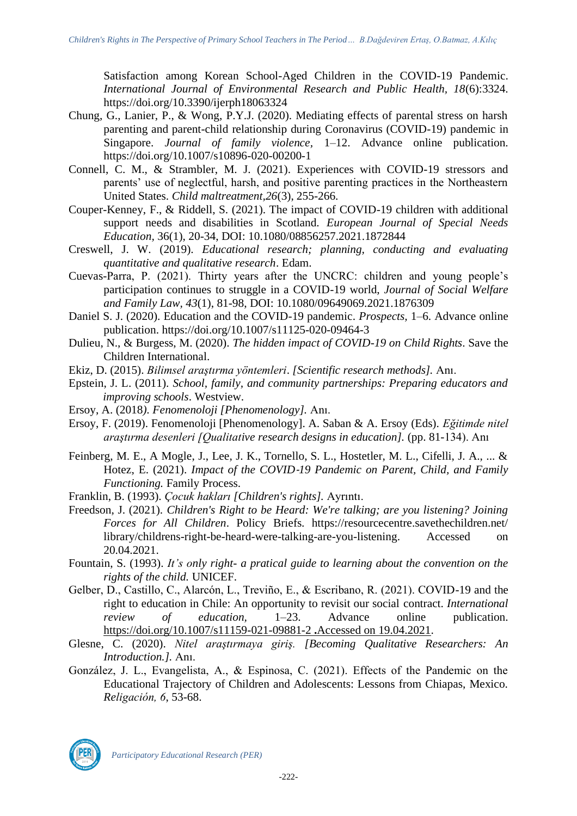Satisfaction among Korean School-Aged Children in the COVID-19 Pandemic. *International Journal of Environmental Research and Public Health, 18*(6):3324. <https://doi.org/10.3390/ijerph18063324>

- Chung, G., Lanier, P., & Wong, P.Y.J. (2020). Mediating effects of parental stress on harsh parenting and parent-child relationship during Coronavirus (COVID-19) pandemic in Singapore. *Journal of family violence,* 1–12. Advance online publication. <https://doi.org/10.1007/s10896-020-00200-1>
- Connell, C. M., & Strambler, M. J. (2021). Experiences with COVID-19 stressors and parents' use of neglectful, harsh, and positive parenting practices in the Northeastern United States. *Child maltreatment,26*(3), 255-266.
- Couper-Kenney, F., & Riddell, S. (2021). The impact of COVID-19 children with additional support needs and disabilities in Scotland. *European Journal of Special Needs Education,* 36(1), 20-34, DOI: 10.1080/08856257.2021.1872844
- Creswell, J. W. (2019). *Educational research; planning, conducting and evaluating quantitative and qualitative research*. Edam.
- Cuevas-Parra, P. (2021). Thirty years after the UNCRC: children and young people's participation continues to struggle in a COVID-19 world, *Journal of Social Welfare and Family Law, 43*(1), 81-98, DOI: 10.1080/09649069.2021.1876309
- Daniel S. J. (2020). Education and the COVID-19 pandemic. *Prospects,* 1–6. Advance online publication.<https://doi.org/10.1007/s11125-020-09464-3>
- Dulieu, N., & Burgess, M. (2020). *The hidden impact of COVID-19 on Child Rights*. Save the Children International.
- Ekiz, D. (2015). *Bilimsel araştırma yöntemleri*. *[Scientific research methods].* Anı.
- Epstein, J. L. (2011). *School, family, and community partnerships: Preparing educators and improving schools*. Westview.
- Ersoy, A. (2018*). Fenomenoloji [Phenomenology].* Anı.
- Ersoy, F. (2019). Fenomenoloji [Phenomenology]. A. Saban & A. Ersoy (Eds). *Eğitimde nitel araştırma desenleri [Qualitative research designs in education].* (pp. 81-134). Anı
- Feinberg, M. E., A Mogle, J., Lee, J. K., Tornello, S. L., Hostetler, M. L., Cifelli, J. A., ... & Hotez, E. (2021). *Impact of the COVID*‐*19 Pandemic on Parent, Child, and Family Functioning.* Family Process.
- Franklin, B. (1993). *Çocuk hakları [Children's rights].* Ayrıntı.
- Freedson, J. (2021). *Children's Right to be Heard: We're talking; are you listening? Joining Forces for All Children*. Policy Briefs. [https://resourcecentre.savethechildren.net/](https://resourcecentre.savethechildren.net/library/childrens-right-be-heard-were-talking-are-you-listening)  [library/childrens-right-be-heard-were-talking-are-you-listening.](https://resourcecentre.savethechildren.net/library/childrens-right-be-heard-were-talking-are-you-listening) Accessed on 20.04.2021.
- Fountain, S. (1993). *It's only right- a pratical guide to learning about the convention on the rights of the child.* UNICEF.
- Gelber, D., Castillo, C., Alarcón, L., Treviño, E., & Escribano, R. (2021). COVID-19 and the right to education in Chile: An opportunity to revisit our social contract. *International review of education,* 1–23. Advance online publication. [https://doi.org/10.1007/s11159-021-09881-2](https://doi.org/10.1007/s11159-021-09881-2%20.Accessed%20on%2019.04.2021) **.**Accessed on 19.04.2021.
- Glesne, C. (2020). *Nitel araştırmaya giriş. [Becoming Qualitative Researchers: An Introduction.].* Anı.
- González, J. L., Evangelista, A., & Espinosa, C. (2021). Effects of the Pandemic on the Educational Trajectory of Children and Adolescents: Lessons from Chiapas, Mexico. *Religación, 6*, 53-68.

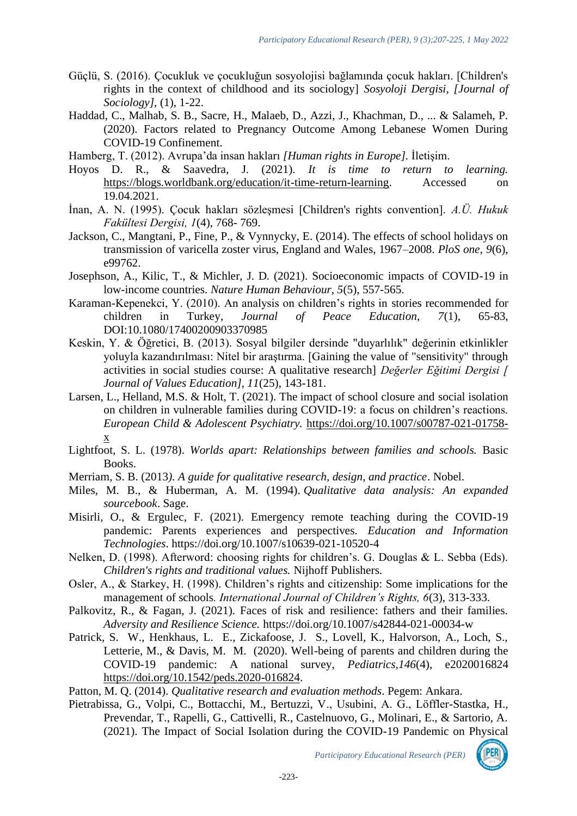- Güçlü, S. (2016). Çocukluk ve çocukluğun sosyolojisi bağlamında çocuk hakları. [Children's rights in the context of childhood and its sociology] *Sosyoloji Dergisi, [Journal of Sociology],* (1), 1-22.
- Haddad, C., Malhab, S. B., Sacre, H., Malaeb, D., Azzi, J., Khachman, D., ... & Salameh, P. (2020). Factors related to Pregnancy Outcome Among Lebanese Women During COVID-19 Confinement.
- Hamberg, T. (2012). Avrupa'da insan hakları *[Human rights in Europe].* İletişim.
- Hoyos D. R., & Saavedra, J. (2021). *It is time to return to learning.*  [https://blogs.worldbank.org/education/it-time-return-learning.](https://blogs.worldbank.org/education/it-time-return-learning) Accessed on 19.04.2021.
- İnan, A. N. (1995). Çocuk hakları sözleşmesi [Children's rights convention]. *A.Ü. Hukuk Fakültesi Dergisi, 1*(4), 768- 769.
- Jackson, C., Mangtani, P., Fine, P., & Vynnycky, E. (2014). The effects of school holidays on transmission of varicella zoster virus, England and Wales, 1967–2008. *PloS one, 9*(6), e99762.
- Josephson, A., Kilic, T., & Michler, J. D. (2021). Socioeconomic impacts of COVID-19 in low-income countries. *Nature Human Behaviour, 5*(5), 557-565.
- Karaman-Kepenekci, Y. (2010). An analysis on children's rights in stories recommended for children in Turkey*, Journal of Peace Education, 7*(1), 65-83, DOI:10.1080/17400200903370985
- Keskin, Y. & Öğretici, B. (2013). Sosyal bilgiler dersinde "duyarlılık" değerinin etkinlikler yoluyla kazandırılması: Nitel bir araştırma. [Gaining the value of "sensitivity" through activities in social studies course: A qualitative research] *Değerler Eğitimi Dergisi [ Journal of Values Education], 11*(25), 143-181.
- Larsen, L., Helland, M.S. & Holt, T. (2021). The impact of school closure and social isolation on children in vulnerable families during COVID-19: a focus on children's reactions. *European Child & Adolescent Psychiatry.* [https://doi.org/10.1007/s00787-021-01758](https://doi.org/10.1007/s00787-021-01758-x) [x](https://doi.org/10.1007/s00787-021-01758-x)
- Lightfoot, S. L. (1978). *Worlds apart: Relationships between families and schools.* Basic Books.
- Merriam, S. B. (2013*). A guide for qualitative research, design, and practice*. Nobel.
- Miles, M. B., & Huberman, A. M. (1994). *Qualitative data analysis: An expanded sourcebook*. Sage.
- Misirli, O., & Ergulec, F. (2021). Emergency remote teaching during the COVID-19 pandemic: Parents experiences and perspectives. *Education and Information Technologies*. https://doi.org/10.1007/s10639-021-10520-4
- Nelken, D. (1998). Afterword: choosing rights for children's. G. Douglas & L. Sebba (Eds). *Children's rights and traditional values.* Nijhoff Publishers.
- Osler, A., & Starkey, H. (1998). Children's rights and citizenship: Some implications for the management of schools*. International Journal of Children's Rights, 6*(3), 313-333.
- Palkovitz, R., & Fagan, J. (2021). Faces of risk and resilience: fathers and their families. *Adversity and Resilience Science.* https://doi.org/10.1007/s42844-021-00034-w
- Patrick, S. W., Henkhaus, L. E., Zickafoose, J. S., Lovell, K., Halvorson, A., Loch, S., Letterie, M., & Davis, M. M. (2020). Well-being of parents and children during the COVID-19 pandemic: A national survey, *Pediatrics,146*(4), e2020016824 [https://doi.org/10.1542/peds.2020-016824.](https://doi.org/10.1542/peds.2020-016824)
- Patton, M. Q. (2014). *Qualitative research and evaluation methods*. Pegem: Ankara.
- Pietrabissa, G., Volpi, C., Bottacchi, M., Bertuzzi, V., Usubini, A. G., Löffler-Stastka, H., Prevendar, T., Rapelli, G., Cattivelli, R., Castelnuovo, G., Molinari, E., & Sartorio, A. (2021). The Impact of Social Isolation during the COVID-19 Pandemic on Physical

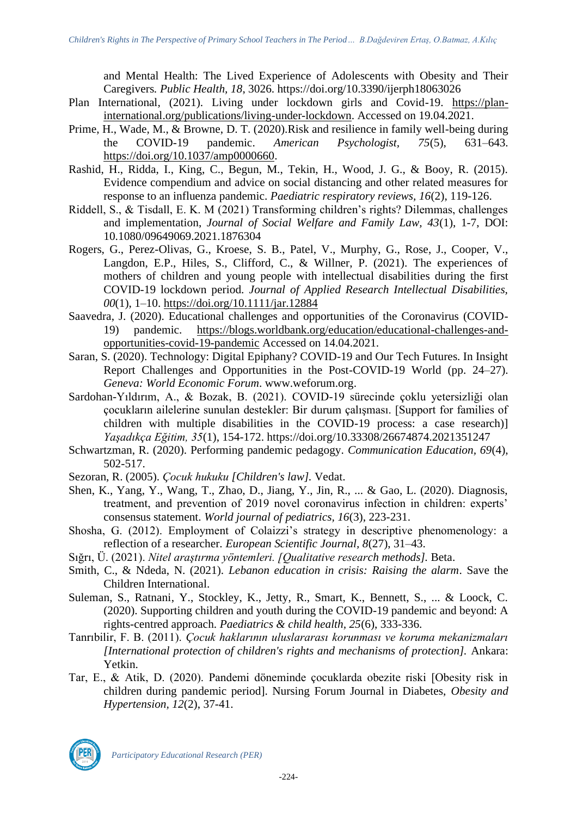and Mental Health: The Lived Experience of Adolescents with Obesity and Their Caregivers*. Public Health, 18*, 3026. https://doi.org/10.3390/ijerph18063026

- Plan International, (2021). Living under lockdown girls and Covid-19. [https://plan](https://plan-international.org/publications/living-under-lockdown)[international.org/publications/living-under-lockdown.](https://plan-international.org/publications/living-under-lockdown) Accessed on 19.04.2021.
- Prime, H., Wade, M., & Browne, D. T. (2020).Risk and resilience in family well-being during the COVID-19 pandemic. *American Psychologist, 75*(5), 631–643. [https://doi.org/10.1037/amp0000660.](https://doi.org/10.1037/amp0000660)
- Rashid, H., Ridda, I., King, C., Begun, M., Tekin, H., Wood, J. G., & Booy, R. (2015). Evidence compendium and advice on social distancing and other related measures for response to an influenza pandemic. *Paediatric respiratory reviews, 16*(2), 119-126.
- Riddell, S., & Tisdall, E. K. M (2021) Transforming children's rights? Dilemmas, challenges and implementation, *Journal of Social Welfare and Family Law, 43*(1), 1-7, DOI: 10.1080/09649069.2021.1876304
- Rogers, G., Perez-Olivas, G., Kroese, S. B., Patel, V., Murphy, G., Rose, J., Cooper, V., Langdon, E.P., Hiles, S., Clifford, C., & Willner, P. (2021). The experiences of mothers of children and young people with intellectual disabilities during the first COVID-19 lockdown period. *Journal of Applied Research Intellectual Disabilities, 00*(1), 1–10.<https://doi.org/10.1111/jar.12884>
- Saavedra, J. (2020). Educational challenges and opportunities of the Coronavirus (COVID-19) pandemic. [https://blogs.worldbank.org/education/educational-challenges-and](https://blogs.worldbank.org/education/educational-challenges-and-opportunities-covid-19-pandemic)[opportunities-covid-19-pandemic](https://blogs.worldbank.org/education/educational-challenges-and-opportunities-covid-19-pandemic) Accessed on 14.04.2021.
- Saran, S. (2020). Technology: Digital Epiphany? COVID-19 and Our Tech Futures. In Insight Report Challenges and Opportunities in the Post-COVID-19 World (pp. 24–27). *Geneva: World Economic Forum*. [www.weforum.org.](http://www.weforum.org/)
- Sardohan-Yıldırım, A., & Bozak, B. (2021). COVID-19 sürecinde çoklu yetersizliği olan çocukların ailelerine sunulan destekler: Bir durum çalışması. [Support for families of children with multiple disabilities in the COVID-19 process: a case research)] *Yaşadıkça Eğitim, 35*(1), 154-172. https://doi.org/10.33308/26674874.2021351247
- Schwartzman, R. (2020). Performing pandemic pedagogy. *Communication Education, 69*(4), 502-517.
- Sezoran, R. (2005). *Çocuk hukuku [Children's law].* Vedat.
- Shen, K., Yang, Y., Wang, T., Zhao, D., Jiang, Y., Jin, R., ... & Gao, L. (2020). Diagnosis, treatment, and prevention of 2019 novel coronavirus infection in children: experts' consensus statement. *World journal of pediatrics, 16*(3), 223-231.
- Shosha, G. (2012). Employment of Colaizzi's strategy in descriptive phenomenology: a reflection of a researcher*. European Scientific Journal, 8*(27), 31–43.
- Sığrı, Ü. (2021). *Nitel araştırma yöntemleri. [Qualitative research methods].* Beta.
- Smith, C., & Ndeda, N. (2021). *Lebanon education in crisis: Raising the alarm*. Save the Children International.
- Suleman, S., Ratnani, Y., Stockley, K., Jetty, R., Smart, K., Bennett, S., ... & Loock, C. (2020). Supporting children and youth during the COVID-19 pandemic and beyond: A rights-centred approach. *Paediatrics & child health, 25*(6), 333-336.
- Tanrıbilir, F. B. (2011). *Çocuk haklarının uluslararası korunması ve koruma mekanizmaları [International protection of children's rights and mechanisms of protection].* Ankara: Yetkin.
- Tar, E., & Atik, D. (2020). Pandemi döneminde çocuklarda obezite riski [Obesity risk in children during pandemic period]. Nursing Forum Journal in Diabetes, *Obesity and Hypertension, 12*(2), 37-41.